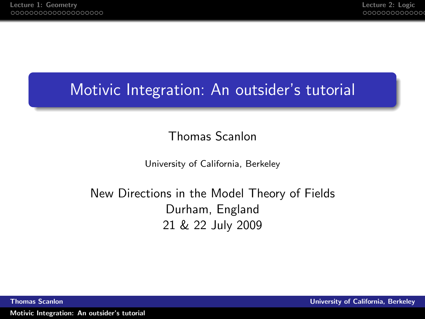# Motivic Integration: An outsider's tutorial

### <span id="page-0-0"></span>Thomas Scanlon

University of California, Berkeley

### New Directions in the Model Theory of Fields Durham, England 21 & 22 July 2009

Thomas Scanlon University of California, Berkeley

[Motivic Integration: An outsider's tutorial](#page-47-0)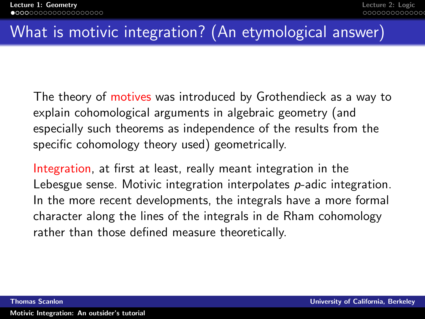# What is motivic integration? (An etymological answer)

The theory of motives was introduced by Grothendieck as a way to explain cohomological arguments in algebraic geometry (and especially such theorems as independence of the results from the specific cohomology theory used) geometrically.

<span id="page-1-0"></span>Integration, at first at least, really meant integration in the Lebesgue sense. Motivic integration interpolates p-adic integration. In the more recent developments, the integrals have a more formal character along the lines of the integrals in de Rham cohomology rather than those defined measure theoretically.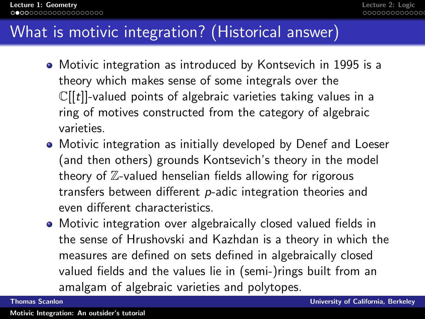# What is motivic integration? (Historical answer)

- Motivic integration as introduced by Kontsevich in 1995 is a theory which makes sense of some integrals over the  $\mathbb{C}[[t]]$ -valued points of algebraic varieties taking values in a ring of motives constructed from the category of algebraic varieties.
- Motivic integration as initially developed by Denef and Loeser (and then others) grounds Kontsevich's theory in the model theory of  $\mathbb{Z}$ -valued henselian fields allowing for rigorous transfers between different p-adic integration theories and even different characteristics.
- Motivic integration over algebraically closed valued fields in the sense of Hrushovski and Kazhdan is a theory in which the measures are defined on sets defined in algebraically closed valued fields and the values lie in (semi-)rings built from an amalgam of algebraic varieties and polytopes.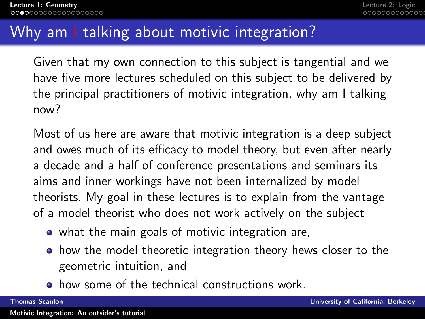# Why am I talking about motivic integration?

Given that my own connection to this subject is tangential and we have five more lectures scheduled on this subject to be delivered by the principal practitioners of motivic integration, why am I talking now?

Most of us here are aware that motivic integration is a deep subject and owes much of its efficacy to model theory, but even after nearly a decade and a half of conference presentations and seminars its aims and inner workings have not been internalized by model theorists. My goal in these lectures is to explain from the vantage of a model theorist who does not work actively on the subject

- what the main goals of motivic integration are,
- how the model theoretic integration theory hews closer to the geometric intuition, and
- **•** how some of the technical constructions work.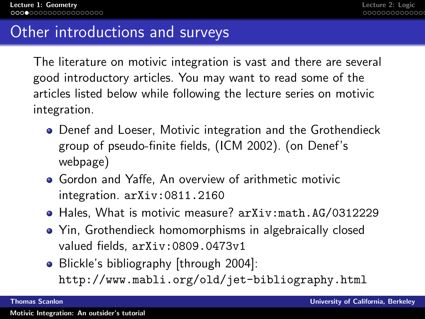### Other introductions and surveys

The literature on motivic integration is vast and there are several good introductory articles. You may want to read some of the articles listed below while following the lecture series on motivic integration.

- Denef and Loeser, Motivic integration and the Grothendieck group of pseudo-finite fields, (ICM 2002). (on Denef's webpage)
- Gordon and Yaffe, An overview of arithmetic motivic integration. arXiv:0811.2160
- Hales, What is motivic measure? arXiv:math.AG/0312229
- Yin, Grothendieck homomorphisms in algebraically closed valued fields, arXiv:0809.0473v1
- Blickle's bibliography [through 2004]: http://www.mabli.org/old/jet-bibliography.html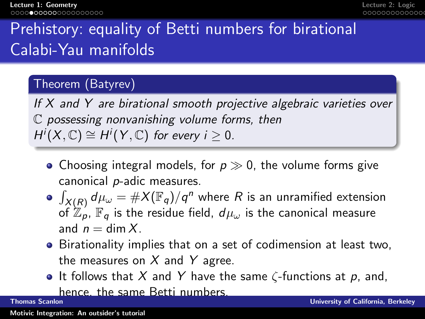# Prehistory: equality of Betti numbers for birational Calabi-Yau manifolds

### Theorem (Batyrev)

If X and Y are birational smooth projective algebraic varieties over C possessing nonvanishing volume forms, then  $H^i(X,\mathbb{C}) \cong H^i(Y,\mathbb{C})$  for every  $i \geq 0$ .

- Choosing integral models, for  $p \gg 0$ , the volume forms give canonical p-adic measures.
- $\int_{X(R)} d\mu_{\omega} = \#X(\mathbb{F}_q)/q^n$  where  $R$  is an unramified extension of  $\mathbb{Z}_p$ ,  $\mathbb{F}_q$  is the residue field,  $d\mu_\omega$  is the canonical measure and  $n = \dim X$ .
- Birationality implies that on a set of codimension at least two, the measures on  $X$  and  $Y$  agree.
- **It follows that X and Y have the same**  $\zeta$ **-functions at p, and,** hence, the same Betti numbers.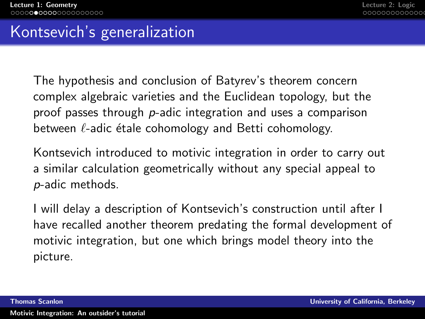### Kontsevich's generalization

The hypothesis and conclusion of Batyrev's theorem concern complex algebraic varieties and the Euclidean topology, but the proof passes through p-adic integration and uses a comparison between  $\ell$ -adic étale cohomology and Betti cohomology.

Kontsevich introduced to motivic integration in order to carry out a similar calculation geometrically without any special appeal to p-adic methods.

I will delay a description of Kontsevich's construction until after I have recalled another theorem predating the formal development of motivic integration, but one which brings model theory into the picture.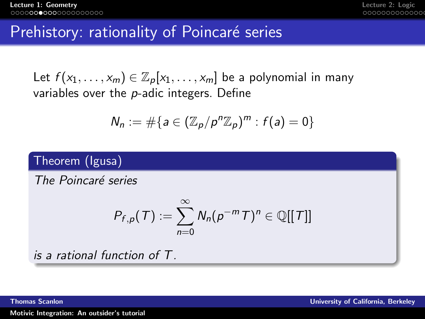### Prehistory: rationality of Poincaré series

Let  $f(x_1,...,x_m) \in \mathbb{Z}_p[x_1,...,x_m]$  be a polynomial in many variables over the p-adic integers. Define

$$
N_n := \#\{a \in (\mathbb{Z}_p/p^n\mathbb{Z}_p)^m : f(a) = 0\}
$$

### Theorem (Igusa)

The Poincaré series

$$
P_{f,p}(\mathcal{T}):=\sum_{n=0}^{\infty}N_n(p^{-m}\mathcal{T})^n\in\mathbb{Q}[[\mathcal{T}]]
$$

is a rational function of T.

[Motivic Integration: An outsider's tutorial](#page-0-0)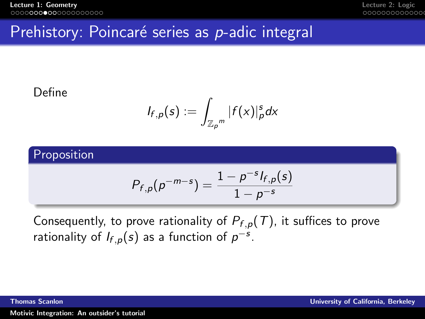## Prehistory: Poincaré series as p-adic integral

### Define

$$
I_{f,p}(s):=\int_{\mathbb{Z}_p^m}|f(x)|_p^sdx
$$

### Proposition

$$
P_{f,p}(p^{-m-s}) = \frac{1 - p^{-s} I_{f,p}(s)}{1 - p^{-s}}
$$

Consequently, to prove rationality of  $P_{f,p}(T)$ , it suffices to prove rationality of  $I_{f,p}(s)$  as a function of  $p^{-s}$ .

[Motivic Integration: An outsider's tutorial](#page-0-0)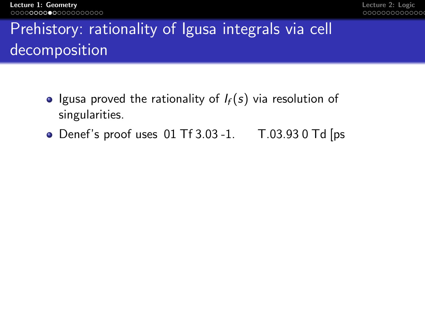[Lecture 1: Geometry](#page-1-0) [Lecture 2: Logic](#page-21-0)

# Prehistory: rationality of Igusa integrals via cell decomposition **Executive in Equality of Igusa integrals via cell**<br> **Executive 2:** Legislatory: rationality of Igusa integrals via cell<br> **decomposition**<br>
• Igusa proved the rationality of  $I_f(s)$  via resolution of<br>
singularities.<br>
• **Defl**

- Igusa proved the rationality of  $I_f(s)$  via resolution of singularities.
- $\bullet$  Denef's compositions 01 Tf 3.03 -1. T.03.93 0 Td [ps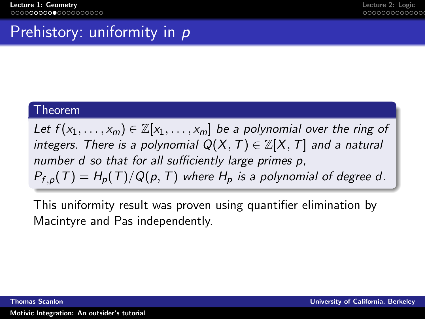# Prehistory: uniformity in p

### Theorem

Let  $f(x_1, \ldots, x_m) \in \mathbb{Z}[x_1, \ldots, x_m]$  be a polynomial over the ring of integers. There is a polynomial  $Q(X, T) \in \mathbb{Z}[X, T]$  and a natural number d so that for all sufficiently large primes p.  $P_{f,p}(T) = H_p(T)/Q(p,T)$  where  $H_p$  is a polynomial of degree d.

This uniformity result was proven using quantifier elimination by Macintyre and Pas independently.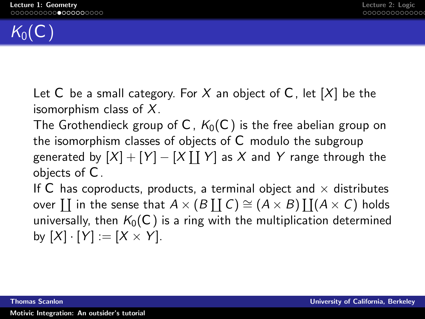

Let C be a small category. For X an object of C, let  $[X]$  be the isomorphism class of  $X$ .

The Grothendieck group of C,  $K_0(\mathcal{C})$  is the free abelian group on the isomorphism classes of objects of  $C$  modulo the subgroup generated by  $[X] + [Y] - [X\coprod Y]$  as  $X$  and  $Y$  range through the objects of  $C$ .

If C has coproducts, products, a terminal object and  $\times$  distributes over  $\coprod$  in the sense that  $A\times (B\coprod \mathcal{C})\cong (A\times B)\coprod (A\times \mathcal{C})$  holds universally, then  $K_0(\mathcal{C})$  is a ring with the multiplication determined by  $[X] \cdot [Y] := [X \times Y]$ .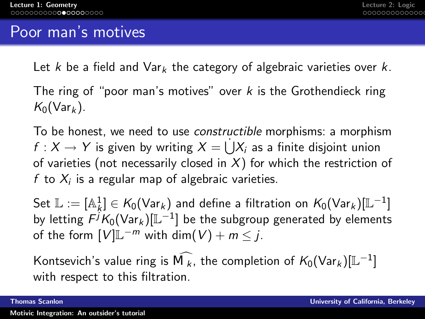### Poor man's motives

Let k be a field and  $Var_k$  the category of algebraic varieties over k.

The ring of "poor man's motives" over  $k$  is the Grothendieck ring  $K_0(\text{Var}_k)$ .

To be honest, we need to use constructible morphisms: a morphism  $f: X \to Y$  is given by writing  $X = \dot{\bigcup} X_i$  as a finite disjoint union of varieties (not necessarily closed in  $X$ ) for which the restriction of f to  $X_i$  is a regular map of algebraic varieties.

Set  $\mathbb{L} := [\mathbb{A}_k^1] \in \mathcal{K}_0(\mathsf{Var}_k)$  and define a filtration on  $\mathcal{K}_0(\mathsf{Var}_k)[\mathbb{L}^{-1}]$ by letting  $\widehat{F^{j}K_{0}}(\mathsf{Var}_{k})[\mathbb{L}^{-1}]$  be the subgroup generated by elements of the form  $[V] \mathbb{L}^{-m}$  with  $\dim(V) + m \leq j$ .

Kontsevich's value ring is  $\widehat{\mathcal{M}}_k$ , the completion of  $K_0(\textsf{Var}_k)[\mathbb{L}^{-1}]$ with respect to this filtration.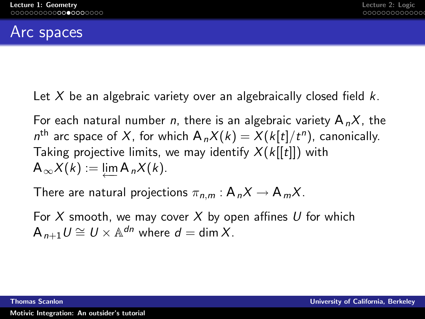### Arc spaces

Let X be an algebraic variety over an algebraically closed field  $k$ .

For each natural number *n*, there is an algebraic variety  $A_nX$ , the  $n^{\text{th}}$  arc space of  $X$ , for which  $A_nX(k) = X(k[t]/t^n)$ , canonically. Taking projective limits, we may identify  $X(k[[t]])$  with  $A_{\infty}X(k) := \lim_{k \to \infty} A_{n}X(k).$ 

There are natural projections  $\pi_{n,m}: A_nX \to A_mX$ .

For X smooth, we may cover X by open affines U for which  $A_{n+1} U \cong U \times \mathbb{A}^{dn}$  where  $d = \dim X$ .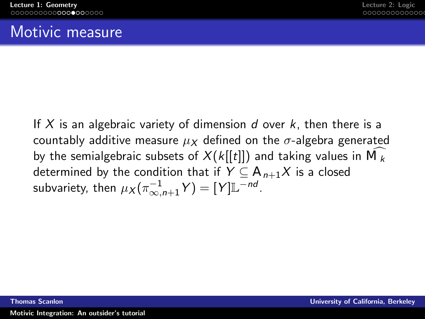### Motivic measure

If X is an algebraic variety of dimension d over  $k$ , then there is a countably additive measure  $\mu_X$  defined on the  $\sigma$ -algebra generated by the semialgebraic subsets of  $X(k[[t]])$  and taking values in  $\overline{\mathcal{M}}_{k}$ determined by the condition that if  $Y \nsubseteq A_{n+1}X$  is a closed subvariety, then  $\mu_X(\pi_{\infty,n+1}^{-1} Y) = [Y] \mathbb{L}^{-nd}.$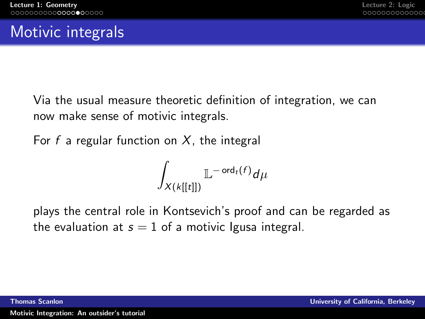# Motivic integrals

Via the usual measure theoretic definition of integration, we can now make sense of motivic integrals.

For f a regular function on  $X$ , the integral

$$
\int_{X(k[[t]])} \mathbb{L}^{-\operatorname{ord}_t(f)} d\mu
$$

plays the central role in Kontsevich's proof and can be regarded as the evaluation at  $s = 1$  of a motivic Igusa integral.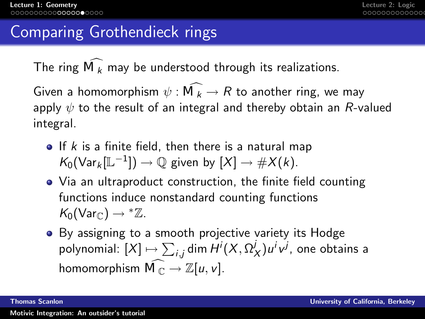### Comparing Grothendieck rings

The ring  $\widehat{\mathcal{M}}_k$  may be understood through its realizations.

Given a homomorphism  $\psi : \widehat{\mathcal{M}_k} \to R$  to another ring, we may apply  $\psi$  to the result of an integral and thereby obtain an R-valued integral.

- $\bullet$  If k is a finite field, then there is a natural map  $K_0(\mathsf{Var}_k[\mathbb{L}^{-1}]) \to \mathbb{Q}$  given by  $[X] \to \#X(k)$ .
- Via an ultraproduct construction, the finite field counting functions induce nonstandard counting functions  $K_0(\text{Var}_{\mathbb{C}}) \rightarrow {}^*\mathbb{Z}$ .
- By assigning to a smooth projective variety its Hodge polynomial:  $[X] \mapsto \sum_{i,j}$ dim  $H^i(X, \Omega^j)$  $(y/\lambda)$ u<sup>i</sup>v<sup>j</sup>, one obtains a homomorphism  $\widehat{\mathcal{M}_{\mathbb{C}}} \to \mathbb{Z}[u, v]$ .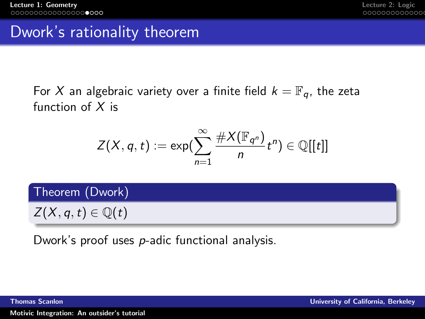### Dwork's rationality theorem

For X an algebraic variety over a finite field  $k = \mathbb{F}_q$ , the zeta function of  $X$  is

$$
Z(X,q,t):=\exp(\sum_{n=1}^{\infty}\frac{\#X(\mathbb{F}_{q^n})}{n}t^n)\in\mathbb{Q}[[t]]
$$

Theorem (Dwork)

 $Z(X, q, t) \in \mathbb{Q}(t)$ 

Dwork's proof uses p-adic functional analysis.

[Motivic Integration: An outsider's tutorial](#page-0-0)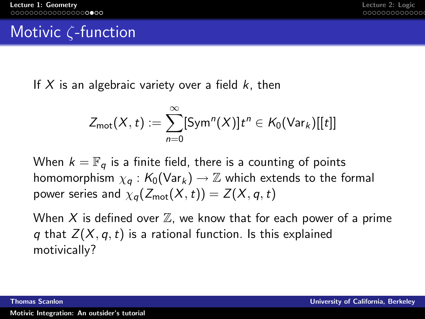# Motivic ζ-function

If X is an algebraic variety over a field  $k$ , then

$$
Z_{\mathsf{mot}}(X,t) := \sum_{n=0}^{\infty} [\mathsf{Sym}^n(X)] t^n \in \mathcal{K}_0(\mathsf{Var}_k)[[t]]
$$

When  $k = \mathbb{F}_q$  is a finite field, there is a counting of points homomorphism  $\chi_a : K_0(\text{Var}_k) \to \mathbb{Z}$  which extends to the formal power series and  $\chi_q(Z_{\text{mot}}(X,t)) = Z(X,q,t)$ 

When X is defined over  $\mathbb Z$ , we know that for each power of a prime q that  $Z(X, q, t)$  is a rational function. Is this explained motivically?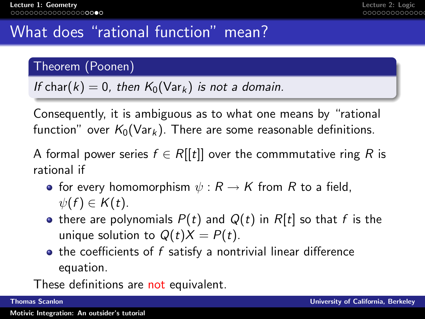# What does "rational function" mean?

### Theorem (Poonen)

If char(k) = 0, then  $K_0(\text{Var}_k)$  is not a domain.

Consequently, it is ambiguous as to what one means by "rational function" over  $K_0(\text{Var}_k)$ . There are some reasonable definitions.

A formal power series  $f \in R[[t]]$  over the commmutative ring R is rational if

- for every homomorphism  $\psi : R \to K$  from R to a field,  $\psi(f) \in K(t)$ .
- there are polynomials  $P(t)$  and  $Q(t)$  in  $R[t]$  so that f is the unique solution to  $Q(t)X = P(t)$ .
- $\bullet$  the coefficients of f satisfy a nontrivial linear difference equation.

These definitions are not equivalent.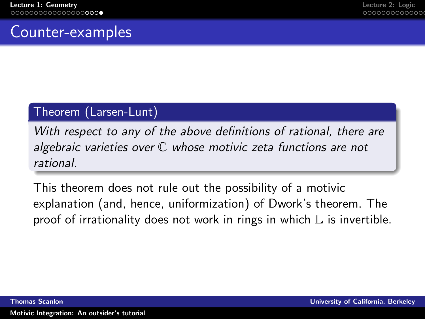## Counter-examples

### Theorem (Larsen-Lunt)

With respect to any of the above definitions of rational, there are algebraic varieties over  $C$  whose motivic zeta functions are not rational.

This theorem does not rule out the possibility of a motivic explanation (and, hence, uniformization) of Dwork's theorem. The proof of irrationality does not work in rings in which  $\mathbb L$  is invertible.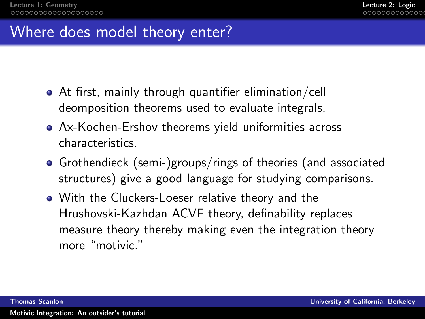### Where does model theory enter?

- At first, mainly through quantifier elimination/cell deomposition theorems used to evaluate integrals.
- Ax-Kochen-Ershov theorems yield uniformities across characteristics.
- Grothendieck (semi-)groups/rings of theories (and associated structures) give a good language for studying comparisons.
- <span id="page-21-0"></span>With the Cluckers-Loeser relative theory and the Hrushovski-Kazhdan ACVF theory, definability replaces measure theory thereby making even the integration theory more "motivic."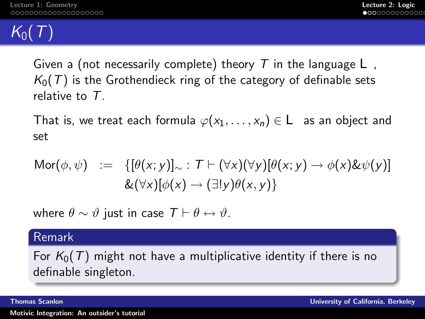# $K_0(T)$

Given a (not necessarily complete) theory T in the language  $\perp$ ,  $K_0(T)$  is the Grothendieck ring of the category of definable sets relative to T.

That is, we treat each formula  $\varphi(x_1, \ldots, x_n) \in \bot$  as an object and set

$$
Mor(\phi, \psi) := \{ [\theta(x; y)]_{\sim} : T \vdash (\forall x)(\forall y)[\theta(x; y) \rightarrow \phi(x) \& \psi(y)] \newline \& (\forall x)[\phi(x) \rightarrow (\exists! y)\theta(x, y)] \}
$$

where  $\theta \sim \vartheta$  just in case  $\mathcal{T} \vdash \theta \leftrightarrow \vartheta$ .

### Remark

For  $K_0(T)$  might not have a multiplicative identity if there is no definable singleton.

[Motivic Integration: An outsider's tutorial](#page-0-0)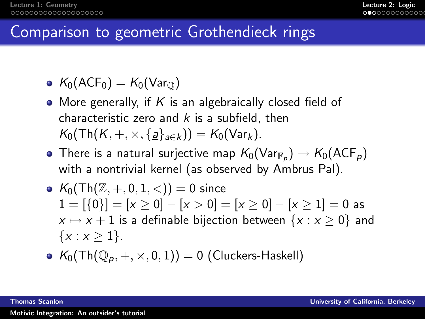# Comparison to geometric Grothendieck rings

- $K_0(ACF_0) = K_0(Var_0)$
- More generally, if K is an algebraically closed field of characteristic zero and  $k$  is a subfield, then  $K_0(\text{Th}(K, +, \times, \{a\}_{a\in k})) = K_0(\text{Var}_k).$
- There is a natural surjective map  $\mathcal{K}_0(\mathsf{Var}_{\mathbb{F}_\rho}) \to \mathcal{K}_0(\mathsf{ACF}_\rho)$ with a nontrivial kernel (as observed by Ambrus Pal).
- $K_0(\text{Th}(\mathbb{Z}, +, 0, 1, <)) = 0$  since  $1 = [{0}] = [x > 0] - [x > 0] = [x > 0] - [x > 1] = 0$  as  $x \mapsto x + 1$  is a definable bijection between  $\{x : x \ge 0\}$  and  $\{x : x > 1\}.$
- $K_0(\text{Th}(\mathbb{O}_p, +, \times, 0, 1)) = 0$  (Cluckers-Haskell)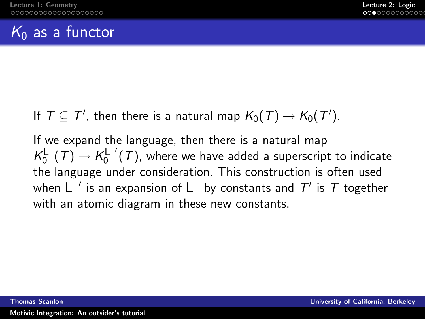## $K_0$  as a functor

If  $\mathcal{T} \subseteq \mathcal{T}'$ , then there is a natural map  $\mathcal{K}_0(\mathcal{T}) \to \mathcal{K}_0(\mathcal{T}').$ 

If we expand the language, then there is a natural map  $\mathcal{K}_0^{\perp}$  (  $\mathcal{T})$   $\rightarrow$   $\mathcal{K}_0^{\perp'}$  (  $\mathcal{T})$  , where we have added a superscript to indicate the language under consideration. This construction is often used when  $\mathcal{L}$   $^{\prime}$  is an expansion of  $\mathcal{L}^{\prime}$  by constants and  $\mathcal{T}^{\prime}$  is  $\mathcal{T}$  together with an atomic diagram in these new constants.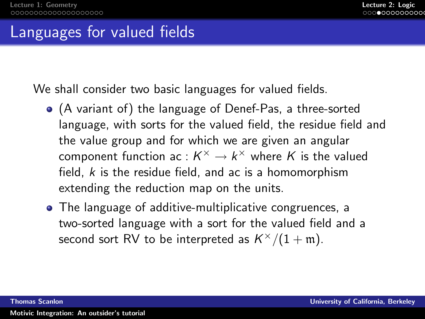### Languages for valued fields

We shall consider two basic languages for valued fields.

- (A variant of) the language of Denef-Pas, a three-sorted language, with sorts for the valued field, the residue field and the value group and for which we are given an angular component function ac :  $K^\times \to k^\times$  where  $K$  is the valued field,  $k$  is the residue field, and ac is a homomorphism extending the reduction map on the units.
- The language of additive-multiplicative congruences, a two-sorted language with a sort for the valued field and a second sort RV to be interpreted as  $K^{\times}/(1+\mathfrak{m})$ .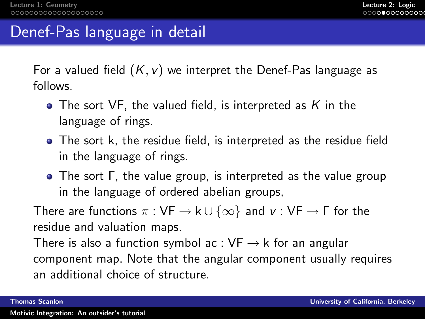### Denef-Pas language in detail

For a valued field  $(K, v)$  we interpret the Denef-Pas language as follows.

- $\bullet$  The sort VF, the valued field, is interpreted as K in the language of rings.
- The sort k, the residue field, is interpreted as the residue field in the language of rings.
- The sort Γ, the value group, is interpreted as the value group in the language of ordered abelian groups,

There are functions  $\pi : VF \rightarrow k \cup {\infty}$  and  $v : VF \rightarrow \Gamma$  for the residue and valuation maps.

There is also a function symbol ac :  $VF \rightarrow k$  for an angular component map. Note that the angular component usually requires an additional choice of structure.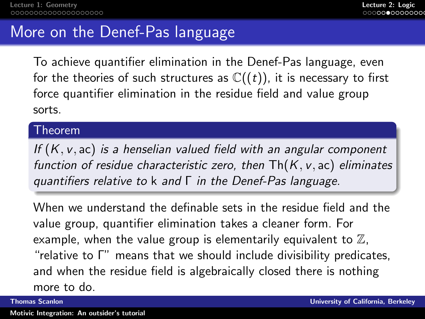### More on the Denef-Pas language

To achieve quantifier elimination in the Denef-Pas language, even for the theories of such structures as  $\mathbb{C}((t))$ , it is necessary to first force quantifier elimination in the residue field and value group sorts.

### Theorem

If  $(K, v, ac)$  is a henselian valued field with an angular component function of residue characteristic zero, then  $Th(K, v, ac)$  eliminates quantifiers relative to k and Γ in the Denef-Pas language.

When we understand the definable sets in the residue field and the value group, quantifier elimination takes a cleaner form. For example, when the value group is elementarily equivalent to  $\mathbb{Z}$ , "relative to Γ" means that we should include divisibility predicates, and when the residue field is algebraically closed there is nothing more to do.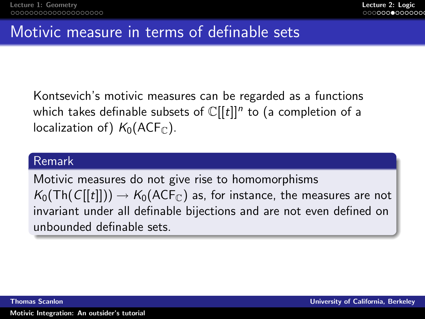# Motivic measure in terms of definable sets

Kontsevich's motivic measures can be regarded as a functions which takes definable subsets of  $\mathbb C[[t]]^n$  to (a completion of a localization of)  $K_0(ACF_{\mathbb{C}})$ .

### Remark

Motivic measures do not give rise to homomorphisms  $K_0(Th(C[[t]]) \rightarrow K_0(ACF_C)$  as, for instance, the measures are not invariant under all definable bijections and are not even defined on unbounded definable sets.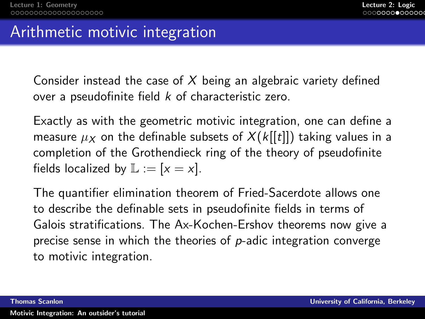### Arithmetic motivic integration

Consider instead the case of  $X$  being an algebraic variety defined over a pseudofinite field k of characteristic zero.

Exactly as with the geometric motivic integration, one can define a measure  $\mu_X$  on the definable subsets of  $X(k[[t]])$  taking values in a completion of the Grothendieck ring of the theory of pseudofinite fields localized by  $\mathbb{L} := [x = x]$ .

The quantifier elimination theorem of Fried-Sacerdote allows one to describe the definable sets in pseudofinite fields in terms of Galois stratifications. The Ax-Kochen-Ershov theorems now give a precise sense in which the theories of  $p$ -adic integration converge to motivic integration.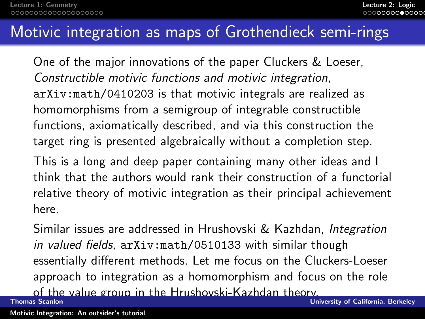### Motivic integration as maps of Grothendieck semi-rings

One of the major innovations of the paper Cluckers & Loeser, Constructible motivic functions and motivic integration, arXiv:math/0410203 is that motivic integrals are realized as homomorphisms from a semigroup of integrable constructible functions, axiomatically described, and via this construction the target ring is presented algebraically without a completion step.

This is a long and deep paper containing many other ideas and I think that the authors would rank their construction of a functorial relative theory of motivic integration as their principal achievement here.

Similar issues are addressed in Hrushovski & Kazhdan, Integration in valued fields, arXiv:math/0510133 with similar though essentially different methods. Let me focus on the Cluckers-Loeser approach to integration as a homomorphism and focus on the role

of the value group in the Hrushovski-Kazhdan theory.<br>Thomas Scanlon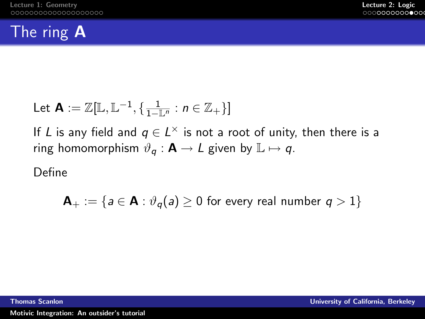# The ring A

Let 
$$
\mathbf{A} := \mathbb{Z}[\mathbb{L}, \mathbb{L}^{-1}, \{\frac{1}{1-\mathbb{L}^n} : n \in \mathbb{Z}_+\}]
$$

If L is any field and  $q \in L^{\times}$  is not a root of unity, then there is a ring homomorphism  $\vartheta_q : \mathbf{A} \to L$  given by  $\mathbb{L} \mapsto q$ .

Define

$$
\mathsf{A}_+:=\{a\in\mathsf{A}:\vartheta_q(a)\geq 0\text{ for every real number }q>1\}
$$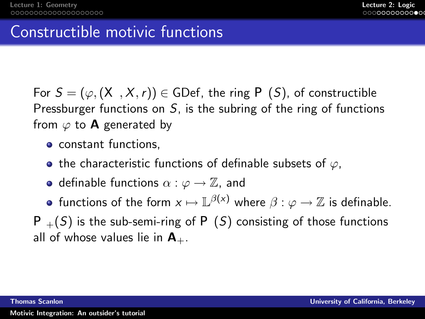### Constructible motivic functions

For  $S = (\varphi, (X, X, r)) \in GDef$ , the ring  $P(S)$ , of constructible Pressburger functions on  $S$ , is the subring of the ring of functions from  $\varphi$  to **A** generated by

- constant functions.
- the characteristic functions of definable subsets of  $\varphi$ ,
- definable functions  $\alpha : \varphi \to \mathbb{Z}$ , and
- functions of the form  $x \mapsto {\mathbb L}^{\beta(x)}$  where  $\beta : \varphi \to {\mathbb Z}$  is definable.

 $P_+(S)$  is the sub-semi-ring of  $P(S)$  consisting of those functions all of whose values lie in  $A_{+}$ .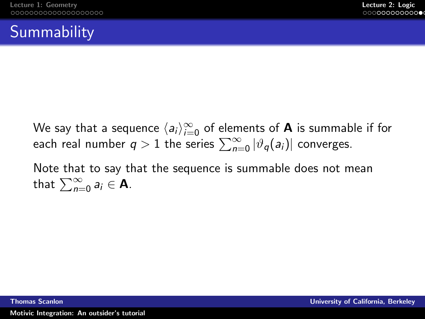# **Summability**

We say that a sequence  $\langle a_i\rangle_{i=0}^\infty$  of elements of  ${\mathbf A}$  is summable if for each real number  $q>1$  the series  $\sum_{n=0}^{\infty} |\vartheta_{q}(a_{i})|$  converges.

Note that to say that the sequence is summable does not mean that  $\sum_{n=0}^{\infty} a_i \in \mathbf{A}$ .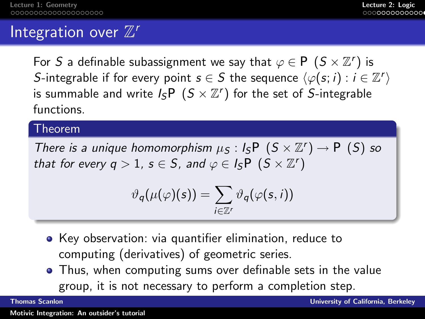# Integration over  $\mathbb{Z}^r$

For  $S$  a definable subassignment we say that  $\varphi \in P\left( S\times \mathbb{Z}^{r}\right)$  is S-integrable if for every point  $s \in S$  the sequence  $\langle \varphi(s; i) : i \in \mathbb{Z}^r \rangle$ is summable and write  $\mathit{l}_S\mathit{\supseteq} (S\times \mathbb{Z}^r)$  for the set of  $S\text{-integrable}$ functions.

### Theorem

There is a unique homomorphism  $\mu_S: I_S P(S \times \mathbb{Z}^r) \to P(S)$  so that for every  $q > 1$ ,  $s \in S$ , and  $\varphi \in I_S \cap (S \times \mathbb{Z}^r)$ 

$$
\vartheta_q(\mu(\varphi)(s)) = \sum_{i \in \mathbb{Z}^r} \vartheta_q(\varphi(s,i))
$$

- Key observation: via quantifier elimination, reduce to computing (derivatives) of geometric series.
- Thus, when computing sums over definable sets in the value group, it is not necessary to perform a completion step.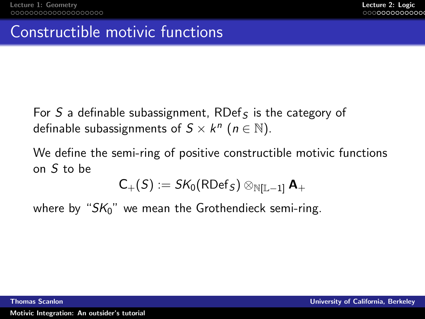### Constructible motivic functions

For S a definable subassignment, RDef<sub>S</sub> is the category of definable subassignments of  $S \times k^n$   $(n \in \mathbb{N})$ .

We define the semi-ring of positive constructible motivic functions on S to be

$$
\text{C}_{+}(S):=\text{SK}_{0}(\text{RDef}_{S})\otimes_{\mathbb{N}[\mathbb{L}-1]} \mathbf{A}_{+}
$$

where by " $SK<sub>0</sub>$ " we mean the Grothendieck semi-ring.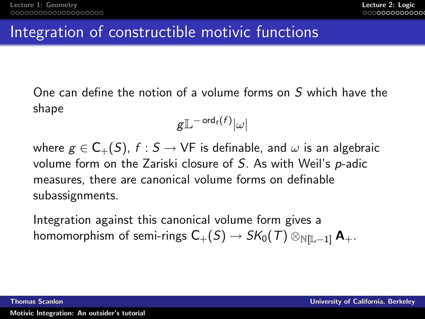## Integration of constructible motivic functions

One can define the notion of a volume forms on S which have the shape

$$
\mathsf{g}\mathbb{L}^{-\operatorname{ord}_t(f)}|\omega|
$$

where  $g \in C_{+}(S)$ ,  $f : S \to VF$  is definable, and  $\omega$  is an algebraic volume form on the Zariski closure of S. As with Weil's p-adic measures, there are canonical volume forms on definable subassignments.

Integration against this canonical volume form gives a homomorphism of semi-rings  $C_+(S) \to SK_0(T) \otimes_{N[\mathbb{L}-1]} \mathbf{A}_+$ .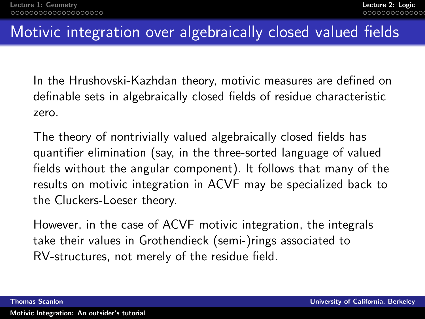# Motivic integration over algebraically closed valued fields

In the Hrushovski-Kazhdan theory, motivic measures are defined on definable sets in algebraically closed fields of residue characteristic zero.

The theory of nontrivially valued algebraically closed fields has quantifier elimination (say, in the three-sorted language of valued fields without the angular component). It follows that many of the results on motivic integration in ACVF may be specialized back to the Cluckers-Loeser theory.

However, in the case of ACVF motivic integration, the integrals take their values in Grothendieck (semi-)rings associated to RV-structures, not merely of the residue field.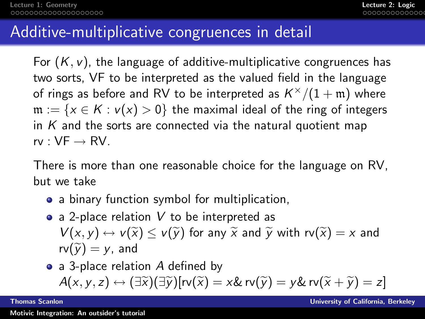### Additive-multiplicative congruences in detail

For  $(K, v)$ , the language of additive-multiplicative congruences has two sorts, VF to be interpreted as the valued field in the language of rings as before and RV to be interpreted as  $\mathcal{K}^{\times}/(1+\mathfrak{m})$  where  $m := \{x \in K : v(x) > 0\}$  the maximal ideal of the ring of integers in  $K$  and the sorts are connected via the natural quotient map  $rv:VF \rightarrow RV.$ 

There is more than one reasonable choice for the language on RV, but we take

- a binary function symbol for multiplication,
- a 2-place relation  $V$  to be interpreted as  $V(x, y) \leftrightarrow V(\widetilde{x}) \leq V(\widetilde{y})$  for any  $\widetilde{x}$  and  $\widetilde{y}$  with  $rv(\widetilde{x}) = x$  and  $rv(\tilde{v}) = v$ , and
- a 3-place relation A defined by  $A(x,y,z) \leftrightarrow (\exists \widetilde{x})(\exists \widetilde{y})[r\mathsf{v}(\widetilde{x})=x \& r\mathsf{v}(\widetilde{y})=y \& r\mathsf{v}(\widetilde{x}+\widetilde{y})=z]$ <br>Thomas Scanlon University of California,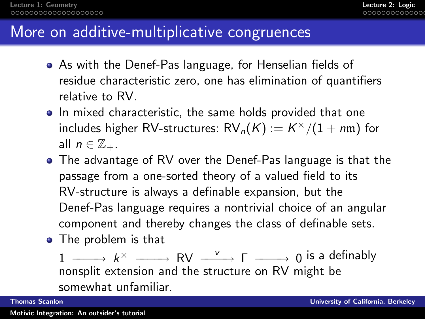### More on additive-multiplicative congruences

- As with the Denef-Pas language, for Henselian fields of residue characteristic zero, one has elimination of quantifiers relative to RV.
- In mixed characteristic, the same holds provided that one includes higher RV-structures:  $\mathsf{RV}_n(\mathsf{K}) := \mathsf{K}^\times/(1+m\mathfrak{m})$  for all  $n \in \mathbb{Z}_+$ .
- The advantage of RV over the Denef-Pas language is that the passage from a one-sorted theory of a valued field to its RV-structure is always a definable expansion, but the Denef-Pas language requires a nontrivial choice of an angular component and thereby changes the class of definable sets.
- The problem is that

1  $\begin{array}{ccc} \text{---} & k^{\times} & \text{---} \end{array}$  RV  $\begin{array}{ccc} \swarrow & \text{---} & \text{0} \end{array}$  is a definably nonsplit extension and the structure on RV might be somewhat unfamiliar.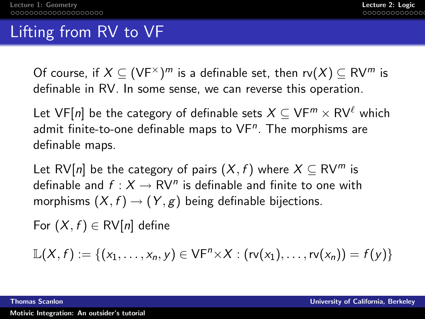# Lifting from RV to VF

Of course, if  $X\subseteq (\mathsf{VF}^\times)^m$  is a definable set, then  $\mathsf{rv}(X)\subseteq \mathsf{RV}^m$  is definable in RV. In some sense, we can reverse this operation.

Let VF[n] be the category of definable sets  $X \subseteq VF^m \times RV^{\ell}$  which admit finite-to-one definable maps to  $\mathsf{VF}^n$ . The morphisms are definable maps.

Let RV[n] be the category of pairs  $(X, f)$  where  $X \subseteq \text{RV}^m$  is definable and  $f: X \to \mathsf{RV}^n$  is definable and finite to one with morphisms  $(X, f) \rightarrow (Y, g)$  being definable bijections.

For  $(X, f) \in \text{RV}[n]$  define

$$
\mathbb{L}(X,f):=\{(x_1,\ldots,x_n,y)\in VF^n\times X:(rv(x_1),\ldots,rv(x_n))=f(y)\}
$$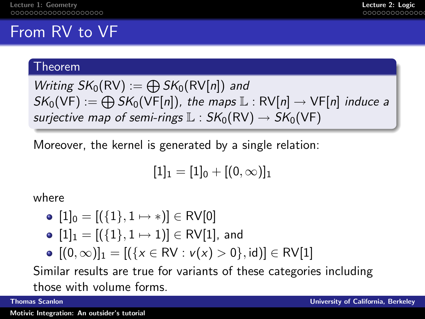# From RV to VF

### Theorem

Writing 
$$
SK_0(RV) := \bigoplus SK_0(RV[n])
$$
 and  
\n $SK_0(VF) := \bigoplus SK_0(VF[n])$ , the maps  $\mathbb{L}: RV[n] \rightarrow VF[n]$  induce a  
\nsurjective map of semi-rings  $\mathbb{L}: SK_0(RV) \rightarrow SK_0(VF)$ 

Moreover, the kernel is generated by a single relation:

$$
[1]_1=[1]_0+[(0,\infty)]_1
$$

where

• 
$$
[1]_0 = [(\{1\}, 1 \mapsto *)] \in \text{RV}[0]
$$

- $[1]_1 = [(\{1\}, 1 \mapsto 1)] \in \text{RV}[1]$ , and
- $[(0, \infty)]_1 = [(\{x \in \text{RV} : v(x) > 0\}, id)] \in \text{RV}[1]$

Similar results are true for variants of these categories including those with volume forms.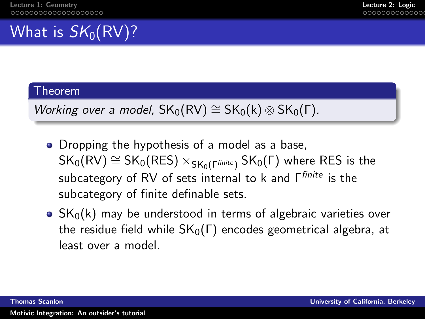# What is  $SK_0(RV)$ ?

### Theorem

Working over a model,  $SK_0(RV) \cong SK_0(k) \otimes SK_0(\Gamma)$ .

- Dropping the hypothesis of a model as a base,  $SK_0(RV) \cong SK_0(RES) \times_{SK_0(\Gamma^{finite})} SK_0(\Gamma)$  where RES is the subcategory of RV of sets internal to k and Γfinite is the subcategory of finite definable sets.
- $\bullet$  SK<sub>0</sub>(k) may be understood in terms of algebraic varieties over the residue field while  $SK_0(\Gamma)$  encodes geometrical algebra, at least over a model.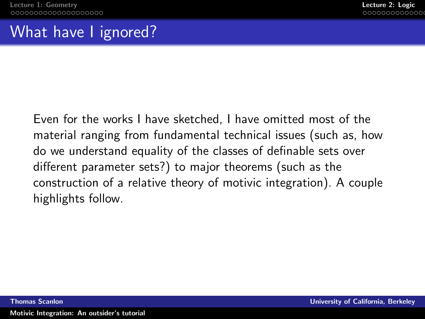# What have I ignored?

Even for the works I have sketched, I have omitted most of the material ranging from fundamental technical issues (such as, how do we understand equality of the classes of definable sets over different parameter sets?) to major theorems (such as the construction of a relative theory of motivic integration). A couple highlights follow.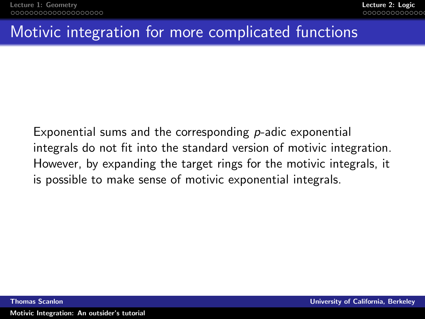## Motivic integration for more complicated functions

Exponential sums and the corresponding  $p$ -adic exponential integrals do not fit into the standard version of motivic integration. However, by expanding the target rings for the motivic integrals, it is possible to make sense of motivic exponential integrals.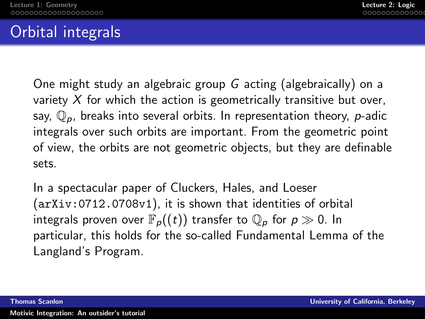# Orbital integrals

One might study an algebraic group G acting (algebraically) on a variety  $X$  for which the action is geometrically transitive but over, say,  $\mathbb{O}_p$ , breaks into several orbits. In representation theory, p-adic integrals over such orbits are important. From the geometric point of view, the orbits are not geometric objects, but they are definable sets.

In a spectacular paper of Cluckers, Hales, and Loeser (arXiv:0712.0708v1), it is shown that identities of orbital integrals proven over  $\mathbb{F}_{p}((t))$  transfer to  $\mathbb{Q}_{p}$  for  $p \gg 0$ . In particular, this holds for the so-called Fundamental Lemma of the Langland's Program.